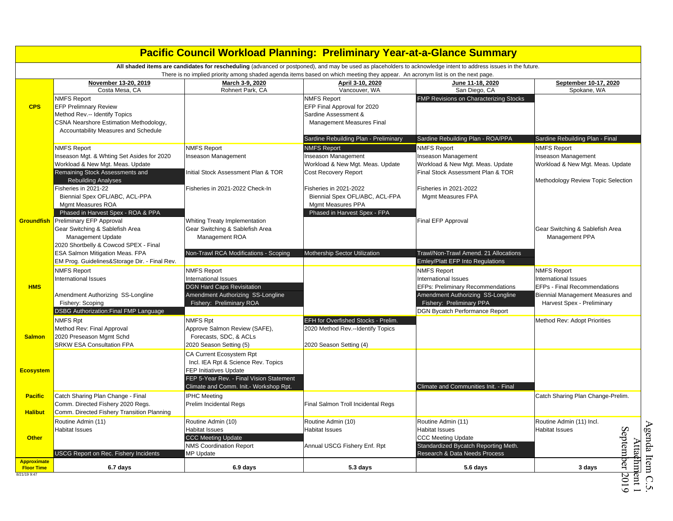|                                         |                                                        | <b>Pacific Council Workload Planning: Preliminary Year-at-a-Glance Summary</b>                                                                                         |                                                          |                                               |                                                  |
|-----------------------------------------|--------------------------------------------------------|------------------------------------------------------------------------------------------------------------------------------------------------------------------------|----------------------------------------------------------|-----------------------------------------------|--------------------------------------------------|
|                                         |                                                        | All shaded items are candidates for rescheduling (advanced or postponed), and may be used as placeholders to acknowledge intent to address issues in the future.       |                                                          |                                               |                                                  |
|                                         | November 13-20, 2019<br>Costa Mesa, CA                 | There is no implied priority among shaded agenda items based on which meeting they appear. An acronym list is on the next page.<br>March 3-9, 2020<br>Rohnert Park, CA | April 3-10, 2020<br>Vancouver, WA                        | June 11-18, 2020<br>San Diego, CA             | September 10-17, 2020<br>Spokane, WA             |
|                                         | <b>NMFS Report</b>                                     |                                                                                                                                                                        | <b>NMFS Report</b>                                       | <b>FMP Revisions on Characterizing Stocks</b> |                                                  |
| <b>CPS</b>                              | <b>EFP Prelimnary Review</b>                           |                                                                                                                                                                        | EFP Final Approval for 2020                              |                                               |                                                  |
|                                         | Method Rev.-- Identify Topics                          |                                                                                                                                                                        | Sardine Assessment &                                     |                                               |                                                  |
|                                         | CSNA Nearshore Estimation Methodology,                 |                                                                                                                                                                        | <b>Management Measures Final</b>                         |                                               |                                                  |
|                                         | Accountability Measures and Schedule                   |                                                                                                                                                                        |                                                          |                                               |                                                  |
|                                         |                                                        |                                                                                                                                                                        | Sardine Rebuilding Plan - Preliminary                    | Sardine Rebuilding Plan - ROA/PPA             | Sardine Rebuilding Plan - Final                  |
|                                         | <b>NMFS Report</b>                                     | <b>NMFS Report</b>                                                                                                                                                     | <b>NMFS Report</b>                                       | <b>NMFS Report</b>                            | <b>NMFS Report</b>                               |
|                                         | Inseason Mgt. & Whting Set Asides for 2020             | Inseason Management                                                                                                                                                    | Inseason Management                                      | Inseason Management                           | Inseason Management                              |
|                                         | Workload & New Mgt. Meas. Update                       |                                                                                                                                                                        | Workload & New Mgt. Meas. Update                         | Workload & New Mgt. Meas. Update              | Workload & New Mgt. Meas. Update                 |
|                                         | Remaining Stock Assessments and                        | Initial Stock Assessment Plan & TOR                                                                                                                                    | <b>Cost Recovery Report</b>                              | Final Stock Assessment Plan & TOR             |                                                  |
|                                         | <b>Rebuilding Analyses</b>                             |                                                                                                                                                                        |                                                          |                                               | Methodology Review Topic Selection               |
|                                         | Fisheries in 2021-22<br>Biennial Spex OFL/ABC, ACL-PPA | Fisheries in 2021-2022 Check-In                                                                                                                                        | Fisheries in 2021-2022<br>Biennial Spex OFL/ABC, ACL-FPA | Fisheries in 2021-2022                        |                                                  |
|                                         | Mgmt Measures ROA                                      |                                                                                                                                                                        | Mgmt Measures PPA                                        | Mgmt Measures FPA                             |                                                  |
|                                         | Phased in Harvest Spex - ROA & PPA                     |                                                                                                                                                                        | Phased in Harvest Spex - FPA                             |                                               |                                                  |
| <b>Groundfish</b>                       | Preliminary EFP Approval                               | Whiting Treaty Implementation                                                                                                                                          |                                                          | Final EFP Approval                            |                                                  |
|                                         | Gear Switching & Sablefish Area                        | Gear Switching & Sablefish Area                                                                                                                                        |                                                          |                                               | Gear Switching & Sablefish Area                  |
|                                         | Management Update                                      | Management ROA                                                                                                                                                         |                                                          |                                               | Management PPA                                   |
|                                         | 2020 Shortbelly & Cowcod SPEX - Final                  |                                                                                                                                                                        |                                                          |                                               |                                                  |
|                                         | ESA Salmon Mitigation Meas. FPA                        | Non-Trawl RCA Modifications - Scoping                                                                                                                                  | Mothership Sector Utilization                            | Trawl/Non-Trawl Amend. 21 Allocations         |                                                  |
|                                         | EM Prog. Guidelines&Storage Dir. - Final Rev.          |                                                                                                                                                                        |                                                          | Emley/Platt EFP Into Regulations              |                                                  |
|                                         | <b>NMFS Report</b>                                     | <b>NMFS Report</b>                                                                                                                                                     |                                                          | <b>NMFS Report</b>                            | <b>NMFS Report</b>                               |
|                                         | <b>International Issues</b>                            | International Issues                                                                                                                                                   |                                                          | International Issues                          | International Issues                             |
| <b>HMS</b>                              |                                                        | <b>DGN Hard Caps Revisitation</b>                                                                                                                                      |                                                          | <b>EFPs: Preliminary Recommendations</b>      | EFPs - Final Recommendations                     |
|                                         | Amendment Authorizing SS-Longline                      | Amendment Authorizing SS-Longline                                                                                                                                      |                                                          | Amendment Authorizing SS-Longline             | Biennial Management Measures and                 |
|                                         | Fishery: Scoping                                       | Fishery: Preliminary ROA                                                                                                                                               |                                                          | Fishery: Preliminary PPA                      | Harvest Spex - Preliminary                       |
|                                         | <b>DSBG Authorization: Final FMP Language</b>          |                                                                                                                                                                        |                                                          | DGN Bycatch Performance Report                |                                                  |
|                                         | <b>NMFS Rpt</b>                                        | <b>NMFS Rpt</b>                                                                                                                                                        | EFH for Overfished Stocks - Prelim.                      |                                               | Method Rev: Adopt Priorities                     |
|                                         | Method Rev: Final Approval                             | Approve Salmon Review (SAFE),                                                                                                                                          | 2020 Method Rev.--Identify Topics                        |                                               |                                                  |
| <b>Salmon</b>                           | 2020 Preseason Mgmt Schd                               | Forecasts, SDC, & ACLs                                                                                                                                                 |                                                          |                                               |                                                  |
|                                         | <b>SRKW ESA Consultation FPA</b>                       | 2020 Season Setting (5)                                                                                                                                                | 2020 Season Setting (4)                                  |                                               |                                                  |
|                                         |                                                        | CA Current Ecosystem Rpt                                                                                                                                               |                                                          |                                               |                                                  |
|                                         |                                                        | Incl. IEA Rpt & Science Rev. Topics                                                                                                                                    |                                                          |                                               |                                                  |
| <b>Ecosystem</b>                        |                                                        | <b>FEP Initiatives Update</b>                                                                                                                                          |                                                          |                                               |                                                  |
|                                         |                                                        | FEP 5-Year Rev. - Final Vision Statement                                                                                                                               |                                                          |                                               |                                                  |
|                                         |                                                        | Climate and Comm. Init.- Workshop Rpt.                                                                                                                                 |                                                          | Climate and Communities Init. - Final         |                                                  |
| <b>Pacific</b>                          | Catch Sharing Plan Change - Final                      | <b>IPHC Meeting</b>                                                                                                                                                    |                                                          |                                               | Catch Sharing Plan Change-Prelim.                |
|                                         | Comm. Directed Fishery 2020 Regs.                      | Prelim Incidental Regs                                                                                                                                                 | Final Salmon Troll Incidental Regs                       |                                               |                                                  |
| <b>Halibut</b>                          | Comm. Directed Fishery Transition Planning             |                                                                                                                                                                        |                                                          |                                               |                                                  |
|                                         | Routine Admin (11)                                     | Routine Admin (10)                                                                                                                                                     | Routine Admin (10)                                       | Routine Admin (11)                            | Routine Admin (11) Incl.                         |
|                                         | <b>Habitat Issues</b>                                  | <b>Habitat Issues</b>                                                                                                                                                  | <b>Habitat Issues</b>                                    | <b>Habitat Issues</b>                         | <b>Habitat Issues</b>                            |
| <b>Other</b>                            |                                                        | <b>CCC Meeting Update</b>                                                                                                                                              |                                                          | <b>CCC Meeting Update</b>                     |                                                  |
|                                         |                                                        | <b>NMS Coordination Report</b>                                                                                                                                         | Annual USCG Fishery Enf. Rpt                             | Standardized Bycatch Reporting Meth.          | Septem                                           |
|                                         | <b>USCG Report on Rec. Fishery Incidents</b>           | MP Update                                                                                                                                                              |                                                          | Research & Data Needs Process                 |                                                  |
| <b>Approximate</b><br><b>Floor Time</b> | 6.7 days                                               | 6.9 days                                                                                                                                                               | 5.3 days                                                 | 5.6 days                                      | enda Item C.5.<br>Atta¢hm ent 1<br>ber<br>3 days |
| 8/21/19 9:47                            |                                                        |                                                                                                                                                                        |                                                          |                                               | 2019                                             |